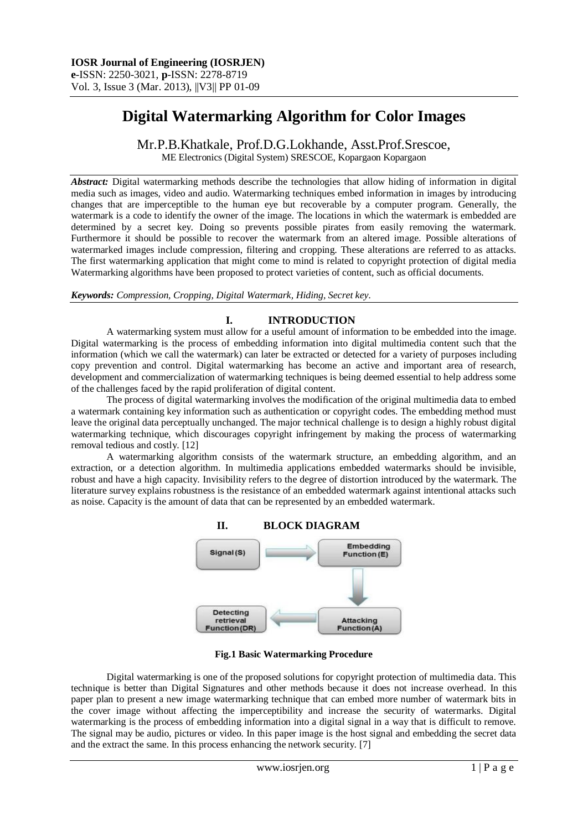# **Digital Watermarking Algorithm for Color Images**

Mr.P.B.Khatkale, Prof.D.G.Lokhande, Asst.Prof.Srescoe,

ME Electronics (Digital System) SRESCOE, Kopargaon Kopargaon

*Abstract:* Digital watermarking methods describe the technologies that allow hiding of information in digital media such as images, video and audio. Watermarking techniques embed information in images by introducing changes that are imperceptible to the human eye but recoverable by a computer program. Generally, the watermark is a code to identify the owner of the image. The locations in which the watermark is embedded are determined by a secret key. Doing so prevents possible pirates from easily removing the watermark. Furthermore it should be possible to recover the watermark from an altered image. Possible alterations of watermarked images include compression, filtering and cropping. These alterations are referred to as attacks. The first watermarking application that might come to mind is related to copyright protection of digital media Watermarking algorithms have been proposed to protect varieties of content, such as official documents.

*Keywords: Compression, Cropping, Digital Watermark, Hiding, Secret key.* 

# **I. INTRODUCTION**

A watermarking system must allow for a useful amount of information to be embedded into the image. Digital watermarking is the process of embedding information into digital multimedia content such that the information (which we call the watermark) can later be extracted or detected for a variety of purposes including copy prevention and control. Digital watermarking has become an active and important area of research, development and commercialization of watermarking techniques is being deemed essential to help address some of the challenges faced by the rapid proliferation of digital content.

The process of digital watermarking involves the modification of the original multimedia data to embed a watermark containing key information such as authentication or copyright codes. The embedding method must leave the original data perceptually unchanged. The major technical challenge is to design a highly robust digital watermarking technique, which discourages copyright infringement by making the process of watermarking removal tedious and costly. [12]

A watermarking algorithm consists of the watermark structure, an embedding algorithm, and an extraction, or a detection algorithm. In multimedia applications embedded watermarks should be invisible, robust and have a high capacity. Invisibility refers to the degree of distortion introduced by the watermark. The literature survey explains robustness is the resistance of an embedded watermark against intentional attacks such as noise. Capacity is the amount of data that can be represented by an embedded watermark.



**Fig.1 Basic Watermarking Procedure**

Digital watermarking is one of the proposed solutions for copyright protection of multimedia data. This technique is better than Digital Signatures and other methods because it does not increase overhead. In this paper plan to present a new image watermarking technique that can embed more number of watermark bits in the cover image without affecting the imperceptibility and increase the security of watermarks. Digital watermarking is the process of embedding information into a digital signal in a way that is difficult to remove. The signal may be audio, pictures or video. In this paper image is the host signal and embedding the secret data and the extract the same. In this process enhancing the network security. [7]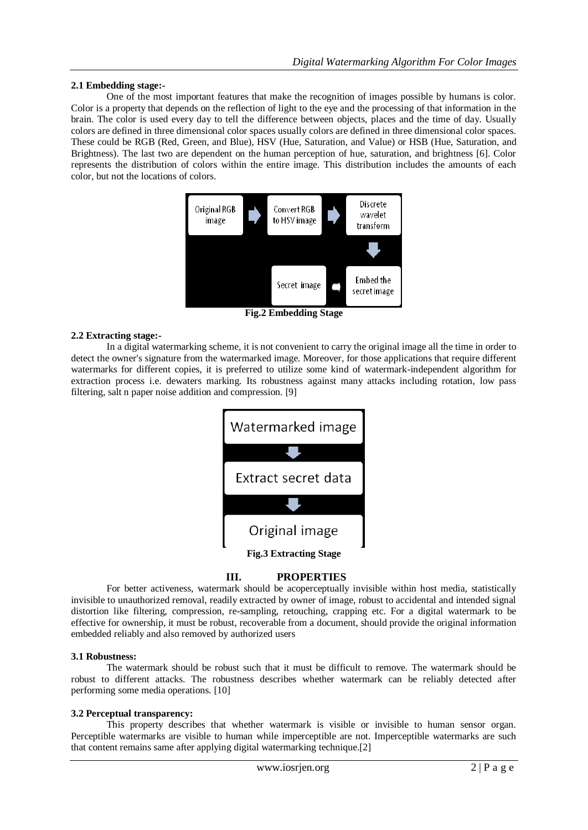### **2.1 Embedding stage:-**

One of the most important features that make the recognition of images possible by humans is color. Color is a property that depends on the reflection of light to the eye and the processing of that information in the brain. The color is used every day to tell the difference between objects, places and the time of day. Usually colors are defined in three dimensional color spaces usually colors are defined in three dimensional color spaces. These could be RGB (Red, Green, and Blue), HSV (Hue, Saturation, and Value) or HSB (Hue, Saturation, and Brightness). The last two are dependent on the human perception of hue, saturation, and brightness [6]. Color represents the distribution of colors within the entire image. This distribution includes the amounts of each color, but not the locations of colors.



**Fig.2 Embedding Stage**

## **2.2 Extracting stage:-**

In a digital watermarking scheme, it is not convenient to carry the original image all the time in order to detect the owner's signature from the watermarked image. Moreover, for those applications that require different watermarks for different copies, it is preferred to utilize some kind of watermark-independent algorithm for extraction process i.e. dewaters marking. Its robustness against many attacks including rotation, low pass filtering, salt n paper noise addition and compression. [9]

| Watermarked image             |  |  |  |  |
|-------------------------------|--|--|--|--|
|                               |  |  |  |  |
| Extract secret data           |  |  |  |  |
|                               |  |  |  |  |
| Original image                |  |  |  |  |
| <b>Fig.3 Extracting Stage</b> |  |  |  |  |

# **III. PROPERTIES**

For better activeness, watermark should be acoperceptually invisible within host media, statistically invisible to unauthorized removal, readily extracted by owner of image, robust to accidental and intended signal distortion like filtering, compression, re-sampling, retouching, crapping etc. For a digital watermark to be effective for ownership, it must be robust, recoverable from a document, should provide the original information embedded reliably and also removed by authorized users

#### **3.1 Robustness:**

The watermark should be robust such that it must be difficult to remove. The watermark should be robust to different attacks. The robustness describes whether watermark can be reliably detected after performing some media operations. [10]

#### **3.2 Perceptual transparency:**

This property describes that whether watermark is visible or invisible to human sensor organ. Perceptible watermarks are visible to human while imperceptible are not. Imperceptible watermarks are such that content remains same after applying digital watermarking technique.[2]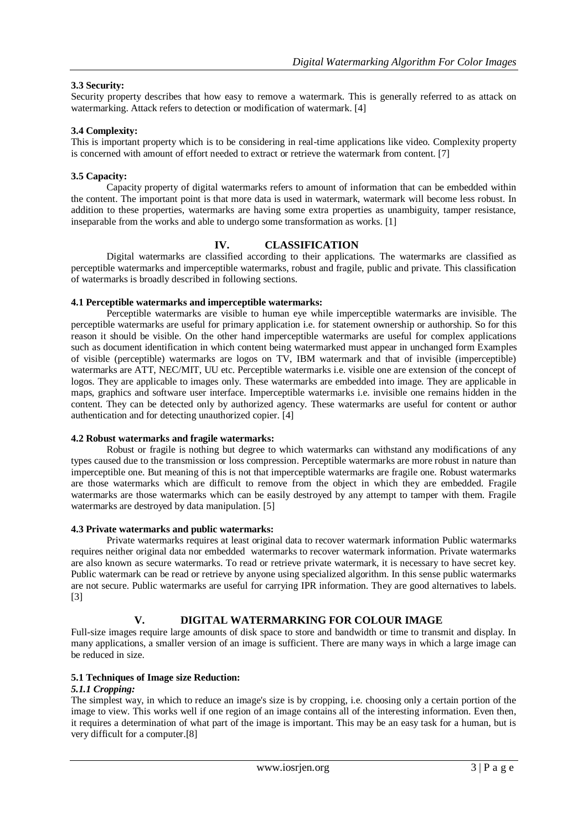# **3.3 Security:**

Security property describes that how easy to remove a watermark. This is generally referred to as attack on watermarking. Attack refers to detection or modification of watermark. [4]

## **3.4 Complexity:**

This is important property which is to be considering in real-time applications like video. Complexity property is concerned with amount of effort needed to extract or retrieve the watermark from content. [7]

## **3.5 Capacity:**

Capacity property of digital watermarks refers to amount of information that can be embedded within the content. The important point is that more data is used in watermark, watermark will become less robust. In addition to these properties, watermarks are having some extra properties as unambiguity, tamper resistance, inseparable from the works and able to undergo some transformation as works. [1]

# **IV. CLASSIFICATION**

Digital watermarks are classified according to their applications. The watermarks are classified as perceptible watermarks and imperceptible watermarks, robust and fragile, public and private. This classification of watermarks is broadly described in following sections.

## **4.1 Perceptible watermarks and imperceptible watermarks:**

Perceptible watermarks are visible to human eye while imperceptible watermarks are invisible. The perceptible watermarks are useful for primary application i.e. for statement ownership or authorship. So for this reason it should be visible. On the other hand imperceptible watermarks are useful for complex applications such as document identification in which content being watermarked must appear in unchanged form Examples of visible (perceptible) watermarks are logos on TV, IBM watermark and that of invisible (imperceptible) watermarks are ATT, NEC/MIT, UU etc. Perceptible watermarks i.e. visible one are extension of the concept of logos. They are applicable to images only. These watermarks are embedded into image. They are applicable in maps, graphics and software user interface. Imperceptible watermarks i.e. invisible one remains hidden in the content. They can be detected only by authorized agency. These watermarks are useful for content or author authentication and for detecting unauthorized copier. [4]

#### **4.2 Robust watermarks and fragile watermarks:**

Robust or fragile is nothing but degree to which watermarks can withstand any modifications of any types caused due to the transmission or loss compression. Perceptible watermarks are more robust in nature than imperceptible one. But meaning of this is not that imperceptible watermarks are fragile one. Robust watermarks are those watermarks which are difficult to remove from the object in which they are embedded. Fragile watermarks are those watermarks which can be easily destroyed by any attempt to tamper with them. Fragile watermarks are destroyed by data manipulation. [5]

#### **4.3 Private watermarks and public watermarks:**

Private watermarks requires at least original data to recover watermark information Public watermarks requires neither original data nor embedded watermarks to recover watermark information. Private watermarks are also known as secure watermarks. To read or retrieve private watermark, it is necessary to have secret key. Public watermark can be read or retrieve by anyone using specialized algorithm. In this sense public watermarks are not secure. Public watermarks are useful for carrying IPR information. They are good alternatives to labels. [3]

# **V. DIGITAL WATERMARKING FOR COLOUR IMAGE**

Full-size images require large amounts of disk space to store and bandwidth or time to transmit and display. In many applications, a smaller version of an image is sufficient. There are many ways in which a large image can be reduced in size.

## **5.1 Techniques of Image size Reduction:**

### *5.1.1 Cropping:*

The simplest way, in which to reduce an image's size is by cropping, i.e. choosing only a certain portion of the image to view. This works well if one region of an image contains all of the interesting information. Even then, it requires a determination of what part of the image is important. This may be an easy task for a human, but is very difficult for a computer.[8]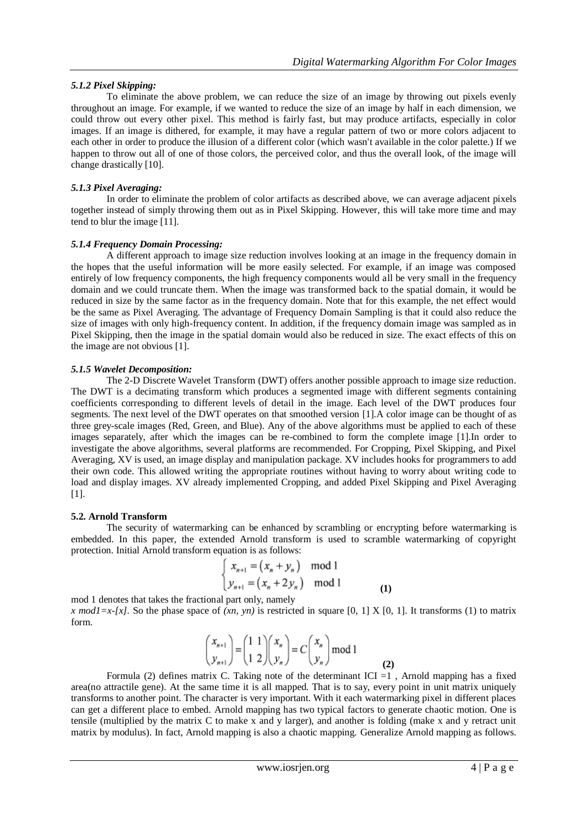# *5.1.2 Pixel Skipping:*

To eliminate the above problem, we can reduce the size of an image by throwing out pixels evenly throughout an image. For example, if we wanted to reduce the size of an image by half in each dimension, we could throw out every other pixel. This method is fairly fast, but may produce artifacts, especially in color images. If an image is dithered, for example, it may have a regular pattern of two or more colors adjacent to each other in order to produce the illusion of a different color (which wasn't available in the color palette.) If we happen to throw out all of one of those colors, the perceived color, and thus the overall look, of the image will change drastically [10].

# *5.1.3 Pixel Averaging:*

In order to eliminate the problem of color artifacts as described above, we can average adjacent pixels together instead of simply throwing them out as in Pixel Skipping. However, this will take more time and may tend to blur the image [11].

# *5.1.4 Frequency Domain Processing:*

A different approach to image size reduction involves looking at an image in the frequency domain in the hopes that the useful information will be more easily selected. For example, if an image was composed entirely of low frequency components, the high frequency components would all be very small in the frequency domain and we could truncate them. When the image was transformed back to the spatial domain, it would be reduced in size by the same factor as in the frequency domain. Note that for this example, the net effect would be the same as Pixel Averaging. The advantage of Frequency Domain Sampling is that it could also reduce the size of images with only high-frequency content. In addition, if the frequency domain image was sampled as in Pixel Skipping, then the image in the spatial domain would also be reduced in size. The exact effects of this on the image are not obvious [1].

# *5.1.5 Wavelet Decomposition:*

The 2-D Discrete Wavelet Transform (DWT) offers another possible approach to image size reduction. The DWT is a decimating transform which produces a segmented image with different segments containing coefficients corresponding to different levels of detail in the image. Each level of the DWT produces four segments. The next level of the DWT operates on that smoothed version [1].A color image can be thought of as three grey-scale images (Red, Green, and Blue). Any of the above algorithms must be applied to each of these images separately, after which the images can be re-combined to form the complete image [1].In order to investigate the above algorithms, several platforms are recommended. For Cropping, Pixel Skipping, and Pixel Averaging, XV is used, an image display and manipulation package. XV includes hooks for programmers to add their own code. This allowed writing the appropriate routines without having to worry about writing code to load and display images. XV already implemented Cropping, and added Pixel Skipping and Pixel Averaging [1].

## **5.2. Arnold Transform**

The security of watermarking can be enhanced by scrambling or encrypting before watermarking is embedded. In this paper, the extended Arnold transform is used to scramble watermarking of copyright protection. Initial Arnold transform equation is as follows:

$$
\begin{cases}\n x_{n+1} = (x_n + y_n) \mod 1 \\
y_{n+1} = (x_n + 2y_n) \mod 1\n\end{cases}
$$
\n(1)

mod 1 denotes that takes the fractional part only, namely *x mod1=x-[x].* So the phase space of  $(xn, yn)$  is restricted in square [0, 1] X [0, 1]. It transforms (1) to matrix form.

$$
\begin{pmatrix} x_{n+1} \\ y_{n+1} \end{pmatrix} = \begin{pmatrix} 1 & 1 \\ 1 & 2 \end{pmatrix} \begin{pmatrix} x_n \\ y_n \end{pmatrix} = C \begin{pmatrix} x_n \\ y_n \end{pmatrix} \text{mod } 1
$$
 (2)

Formula (2) defines matrix C. Taking note of the determinant ICI =1 , Arnold mapping has a fixed area(no attractile gene). At the same time it is all mapped. That is to say, every point in unit matrix uniquely transforms to another point. The character is very important. With it each watermarking pixel in different places can get a different place to embed. Arnold mapping has two typical factors to generate chaotic motion. One is tensile (multiplied by the matrix C to make x and y larger), and another is folding (make x and y retract unit matrix by modulus). In fact, Arnold mapping is also a chaotic mapping. Generalize Arnold mapping as follows.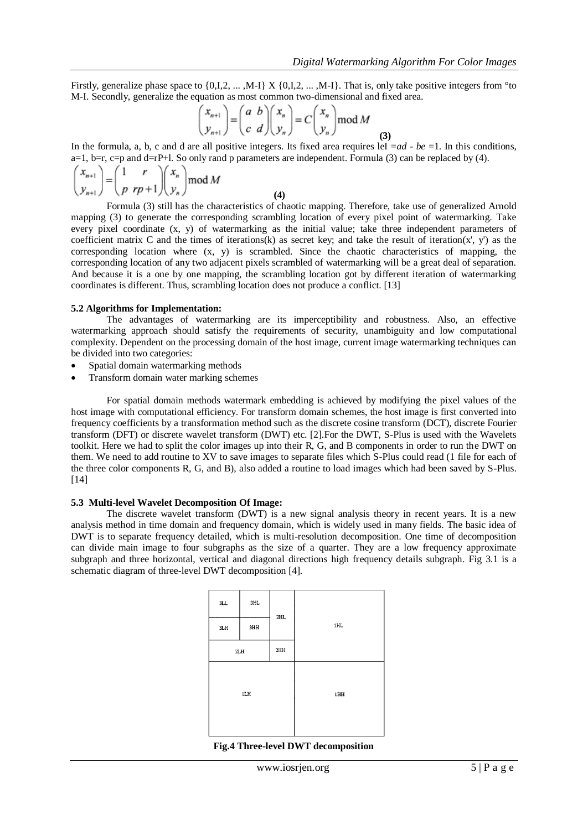Firstly, generalize phase space to  $\{0,1,2,\ldots,M-1\}$   $X \{0,1,2,\ldots,M-1\}$ . That is, only take positive integers from °to M-I. Secondly, generalize the equation as most common two-dimensional and fixed area.

$$
\begin{pmatrix} x_{n+1} \\ y_{n+1} \end{pmatrix} = \begin{pmatrix} a & b \\ c & d \end{pmatrix} \begin{pmatrix} x_n \\ y_n \end{pmatrix} = C \begin{pmatrix} x_n \\ y_n \end{pmatrix} \text{mod } M
$$
 (3)

In the formula, a, b, c and d are all positive integers. Its fixed area requires leI  $= ad - be = 1$ . In this conditions,  $a=1$ ,  $b=r$ ,  $c=p$  and  $d=rP+1$ . So only rand p parameters are independent. Formula (3) can be replaced by (4).

$$
\begin{pmatrix} x_{n+1} \\ y_{n+1} \end{pmatrix} = \begin{pmatrix} 1 & r \\ p & rp + 1 \end{pmatrix} \begin{pmatrix} x_n \\ y_n \end{pmatrix} \text{mod } M
$$
 (4)

Formula (3) still has the characteristics of chaotic mapping. Therefore, take use of generalized Arnold mapping (3) to generate the corresponding scrambling location of every pixel point of watermarking. Take every pixel coordinate (x, y) of watermarking as the initial value; take three independent parameters of coefficient matrix C and the times of iterations(k) as secret key; and take the result of iteration(x', y') as the corresponding location where  $(x, y)$  is scrambled. Since the chaotic characteristics of mapping, the corresponding location of any two adjacent pixels scrambled of watermarking will be a great deal of separation. And because it is a one by one mapping, the scrambling location got by different iteration of watermarking coordinates is different. Thus, scrambling location does not produce a conflict. [13]

#### **5.2 Algorithms for Implementation:**

The advantages of watermarking are its imperceptibility and robustness. Also, an effective watermarking approach should satisfy the requirements of security, unambiguity and low computational complexity. Dependent on the processing domain of the host image, current image watermarking techniques can be divided into two categories:

- Spatial domain watermarking methods
- Transform domain water marking schemes

For spatial domain methods watermark embedding is achieved by modifying the pixel values of the host image with computational efficiency. For transform domain schemes, the host image is first converted into frequency coefficients by a transformation method such as the discrete cosine transform (DCT), discrete Fourier transform (DFT) or discrete wavelet transform (DWT) etc. [2].For the DWT, S-Plus is used with the Wavelets toolkit. Here we had to split the color images up into their R, G, and B components in order to run the DWT on them. We need to add routine to XV to save images to separate files which S-Plus could read (1 file for each of the three color components R, G, and B), also added a routine to load images which had been saved by S-Plus. [14]

#### **5.3 Multi-level Wavelet Decomposition Of Image:**

The discrete wavelet transform (DWT) is a new signal analysis theory in recent years. It is a new analysis method in time domain and frequency domain, which is widely used in many fields. The basic idea of DWT is to separate frequency detailed, which is multi-resolution decomposition. One time of decomposition can divide main image to four subgraphs as the size of a quarter. They are a low frequency approximate subgraph and three horizontal, vertical and diagonal directions high frequency details subgraph. Fig 3.1 is a schematic diagram of three-level DWT decomposition [4].

| $3\mathtt{LL}$ | 3HL | 2HL |     |
|----------------|-----|-----|-----|
| 3LH            | 3HH |     | 1HL |
| 2HH<br>2LH     |     |     |     |
| 1LH            |     |     | 1HH |

|  | Fig.4 Three-level DWT decomposition |
|--|-------------------------------------|
|  |                                     |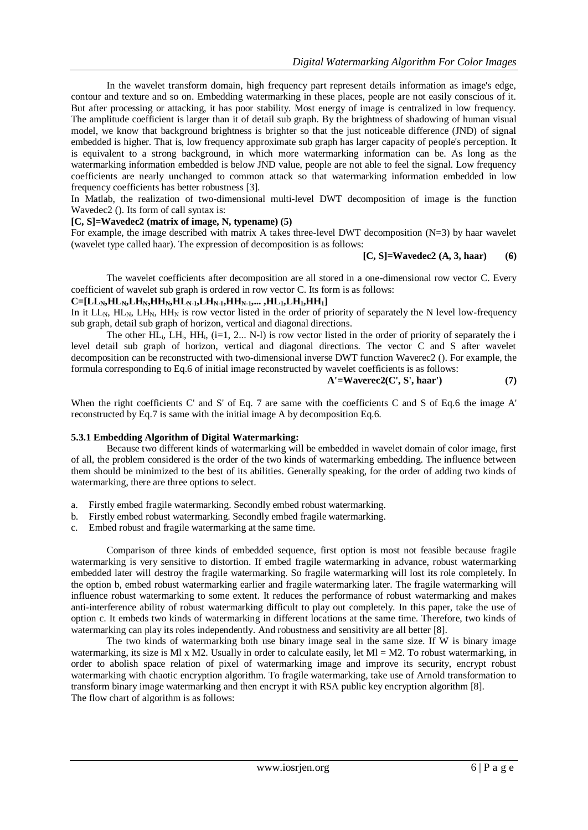In the wavelet transform domain, high frequency part represent details information as image's edge, contour and texture and so on. Embedding watermarking in these places, people are not easily conscious of it. But after processing or attacking, it has poor stability. Most energy of image is centralized in low frequency. The amplitude coefficient is larger than it of detail sub graph. By the brightness of shadowing of human visual model, we know that background brightness is brighter so that the just noticeable difference (JND) of signal embedded is higher. That is, low frequency approximate sub graph has larger capacity of people's perception. It is equivalent to a strong background, in which more watermarking information can be. As long as the watermarking information embedded is below JND value, people are not able to feel the signal. Low frequency coefficients are nearly unchanged to common attack so that watermarking information embedded in low frequency coefficients has better robustness [3].

In Matlab, the realization of two-dimensional multi-level DWT decomposition of image is the function Wavedec2 (). Its form of call syntax is:

# **[C, S]=Wavedec2 (matrix of image, N, typename) (5)**

For example, the image described with matrix A takes three-level DWT decomposition (N=3) by haar wavelet (wavelet type called haar). The expression of decomposition is as follows:

**[C, S]=Wavedec2 (A, 3, haar) (6)**

The wavelet coefficients after decomposition are all stored in a one-dimensional row vector C. Every coefficient of wavelet sub graph is ordered in row vector C. Its form is as follows:

#### $C=[LL_N,HL_N,LL_{N},HH_N,HH_{N-1},LL_{N-1},HH_{N-1},...,HL_1,LL_{1},HH_1]$

In it  $LL_N$ ,  $HL_N$ ,  $HH_N$ ,  $HH_N$  is row vector listed in the order of priority of separately the N level low-frequency sub graph, detail sub graph of horizon, vertical and diagonal directions.

The other  $HL_i$ ,  $LH_i$ ,  $HH_i$ ,  $(i=1, 2... N-1)$  is row vector listed in the order of priority of separately the i level detail sub graph of horizon, vertical and diagonal directions. The vector C and S after wavelet decomposition can be reconstructed with two-dimensional inverse DWT function Waverec2 (). For example, the formula corresponding to Eq.6 of initial image reconstructed by wavelet coefficients is as follows:

### **A'=Waverec2(C', S', haar') (7)**

When the right coefficients C' and S' of Eq. 7 are same with the coefficients C and S of Eq.6 the image A' reconstructed by Eq.7 is same with the initial image A by decomposition Eq.6.

#### **5.3.1 Embedding Algorithm of Digital Watermarking:**

Because two different kinds of watermarking will be embedded in wavelet domain of color image, first of all, the problem considered is the order of the two kinds of watermarking embedding. The influence between them should be minimized to the best of its abilities. Generally speaking, for the order of adding two kinds of watermarking, there are three options to select.

- a. Firstly embed fragile watermarking. Secondly embed robust watermarking.
- b. Firstly embed robust watermarking. Secondly embed fragile watermarking.
- c. Embed robust and fragile watermarking at the same time.

Comparison of three kinds of embedded sequence, first option is most not feasible because fragile watermarking is very sensitive to distortion. If embed fragile watermarking in advance, robust watermarking embedded later will destroy the fragile watermarking. So fragile watermarking will lost its role completely. In the option b, embed robust watermarking earlier and fragile watermarking later. The fragile watermarking will influence robust watermarking to some extent. It reduces the performance of robust watermarking and makes anti-interference ability of robust watermarking difficult to play out completely. In this paper, take the use of option c. It embeds two kinds of watermarking in different locations at the same time. Therefore, two kinds of watermarking can play its roles independently. And robustness and sensitivity are all better [8].

The two kinds of watermarking both use binary image seal in the same size. If W is binary image watermarking, its size is Ml x M2. Usually in order to calculate easily, let  $M = M2$ . To robust watermarking, in order to abolish space relation of pixel of watermarking image and improve its security, encrypt robust watermarking with chaotic encryption algorithm. To fragile watermarking, take use of Arnold transformation to transform binary image watermarking and then encrypt it with RSA public key encryption algorithm [8]. The flow chart of algorithm is as follows: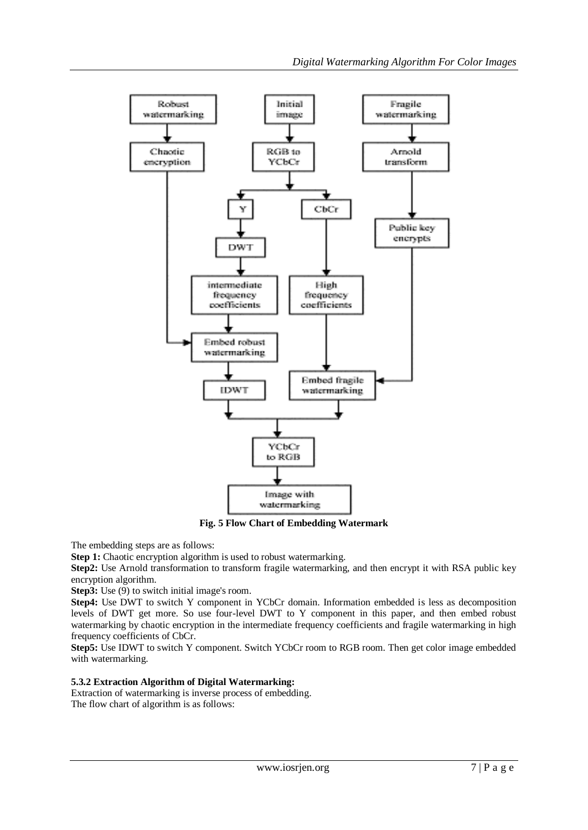

**Fig. 5 Flow Chart of Embedding Watermark**

The embedding steps are as follows:

**Step 1:** Chaotic encryption algorithm is used to robust watermarking.

**Step2:** Use Arnold transformation to transform fragile watermarking, and then encrypt it with RSA public key encryption algorithm.

**Step3:** Use (9) to switch initial image's room.

**Step4:** Use DWT to switch Y component in YCbCr domain. Information embedded is less as decomposition levels of DWT get more. So use four-level DWT to Y component in this paper, and then embed robust watermarking by chaotic encryption in the intermediate frequency coefficients and fragile watermarking in high frequency coefficients of CbCr.

**Step5:** Use IDWT to switch Y component. Switch YCbCr room to RGB room. Then get color image embedded with watermarking.

# **5.3.2 Extraction Algorithm of Digital Watermarking:**

Extraction of watermarking is inverse process of embedding. The flow chart of algorithm is as follows: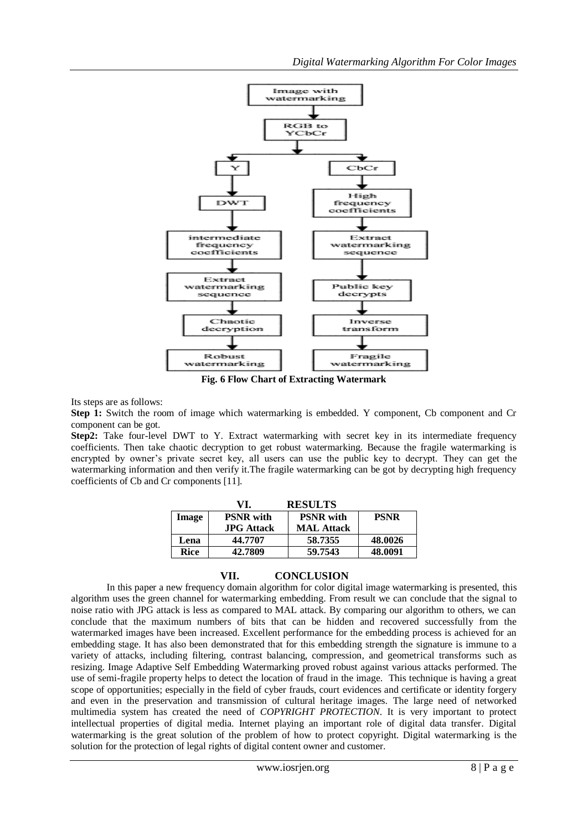

**Fig. 6 Flow Chart of Extracting Watermark**

Its steps are as follows:

**Step 1:** Switch the room of image which watermarking is embedded. Y component, Cb component and Cr component can be got.

**Step2:** Take four-level DWT to Y. Extract watermarking with secret key in its intermediate frequency coefficients. Then take chaotic decryption to get robust watermarking. Because the fragile watermarking is encrypted by owner's private secret key, all users can use the public key to decrypt. They can get the watermarking information and then verify it.The fragile watermarking can be got by decrypting high frequency coefficients of Cb and Cr components [11].

|              | VI.               | <b>RESULTS</b>    |             |
|--------------|-------------------|-------------------|-------------|
| <b>Image</b> | <b>PSNR</b> with  | <b>PSNR</b> with  | <b>PSNR</b> |
|              | <b>JPG</b> Attack | <b>MAL Attack</b> |             |
| Lena         | 44.7707           | 58.7355           | 48.0026     |
| Rice         | 42.7809           | 59.7543           | 48.0091     |

# **VII. CONCLUSION**

In this paper a new frequency domain algorithm for color digital image watermarking is presented, this algorithm uses the green channel for watermarking embedding. From result we can conclude that the signal to noise ratio with JPG attack is less as compared to MAL attack. By comparing our algorithm to others, we can conclude that the maximum numbers of bits that can be hidden and recovered successfully from the watermarked images have been increased. Excellent performance for the embedding process is achieved for an embedding stage. It has also been demonstrated that for this embedding strength the signature is immune to a variety of attacks, including filtering, contrast balancing, compression, and geometrical transforms such as resizing. Image Adaptive Self Embedding Watermarking proved robust against various attacks performed. The use of semi-fragile property helps to detect the location of fraud in the image. This technique is having a great scope of opportunities; especially in the field of cyber frauds, court evidences and certificate or identity forgery and even in the preservation and transmission of cultural heritage images. The large need of networked multimedia system has created the need of *COPYRIGHT PROTECTION*. It is very important to protect intellectual properties of digital media. Internet playing an important role of digital data transfer. Digital watermarking is the great solution of the problem of how to protect copyright. Digital watermarking is the solution for the protection of legal rights of digital content owner and customer.